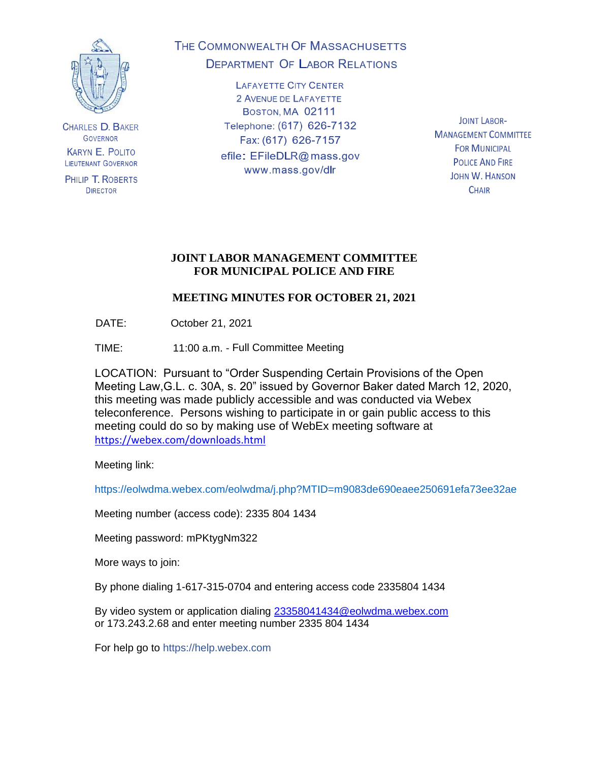

**CHARLES D. BAKER GOVERNOR KARYN E. POLITO LIEUTENANT GOVERNOR** 

PHILIP T. ROBERTS **DIRECTOR** 

# THE COMMONWEALTH OF MASSACHUSETTS **DEPARTMENT OF LABOR RELATIONS**

**LAFAYETTE CITY CENTER** 2 AVENUE DE LAFAYETTE BOSTON, MA 02111 Telephone: (617) 626-7132 Fax: (617) 626-7157 efile: EFileDLR@mass.gov www.mass.gov/dlr

**JOINT LABOR-MANAGEMENT COMMITTEE FOR MUNICIPAL POLICE AND FIRE JOHN W. HANSON CHAIR** 

## **JOINT LABOR MANAGEMENT COMMITTEE FOR MUNICIPAL POLICE AND FIRE**

# **MEETING MINUTES FOR OCTOBER 21, 2021**

DATE: October 21, 2021

TIME: 11:00 a.m. - Full Committee Meeting

LOCATION: Pursuant to "Order Suspending Certain Provisions of the Open Meeting Law,G.L. c. 30A, s. 20" issued by Governor Baker dated March 12, 2020, this meeting was made publicly accessible and was conducted via Webex teleconference. Persons wishing to participate in or gain public access to this meeting could do so by making use of WebEx meeting software at <https://webex.com/downloads.html>

Meeting link:

https://eolwdma.webex.com/eolwdma/j.php?MTID=m9083de690eaee250691efa73ee32ae

Meeting number (access code): 2335 804 1434

Meeting password: mPKtygNm322

More ways to join:

By phone dialing 1-617-315-0704 and entering access code 2335804 1434

By video system or application dialing [23358041434@eolwdma.webex.com](mailto:23358041434@eolwdma.webex.com) or 173.243.2.68 and enter meeting number 2335 804 1434

For help go to https://help.webex.com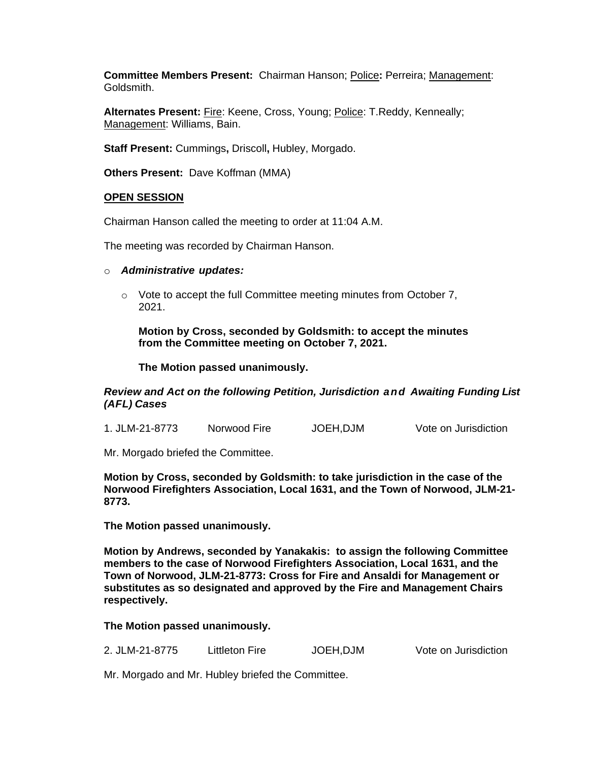**Committee Members Present:** Chairman Hanson; Police**:** Perreira; Management: Goldsmith.

**Alternates Present:** Fire: Keene, Cross, Young; Police: T.Reddy, Kenneally; Management: Williams, Bain.

**Staff Present:** Cummings**,** Driscoll**,** Hubley, Morgado.

**Others Present:** Dave Koffman (MMA)

#### **OPEN SESSION**

Chairman Hanson called the meeting to order at 11:04 A.M.

The meeting was recorded by Chairman Hanson.

- o *Administrative updates:*
	- $\circ$  Vote to accept the full Committee meeting minutes from October 7, 2021.

**Motion by Cross, seconded by Goldsmith: to accept the minutes from the Committee meeting on October 7, 2021.**

**The Motion passed unanimously.**

*Review and Act on the following Petition, Jurisdiction and Awaiting Funding List (AFL) Cases*

| 1. JLM-21-8773 | Norwood Fire | JOEH, DJM | Vote on Jurisdiction |
|----------------|--------------|-----------|----------------------|
|                |              |           |                      |

Mr. Morgado briefed the Committee.

**Motion by Cross, seconded by Goldsmith: to take jurisdiction in the case of the Norwood Firefighters Association, Local 1631, and the Town of Norwood, JLM-21- 8773.**

**The Motion passed unanimously.**

**Motion by Andrews, seconded by Yanakakis: to assign the following Committee members to the case of Norwood Firefighters Association, Local 1631, and the Town of Norwood, JLM-21-8773: Cross for Fire and Ansaldi for Management or substitutes as so designated and approved by the Fire and Management Chairs respectively.**

**The Motion passed unanimously.**

2. JLM-21-8775 Littleton Fire JOEH,DJM Vote on Jurisdiction

Mr. Morgado and Mr. Hubley briefed the Committee.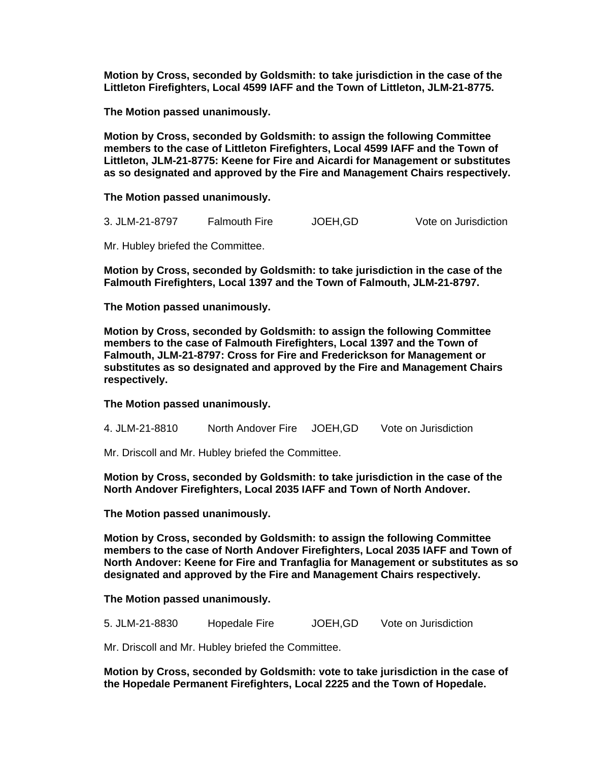**Motion by Cross, seconded by Goldsmith: to take jurisdiction in the case of the Littleton Firefighters, Local 4599 IAFF and the Town of Littleton, JLM-21-8775.**

**The Motion passed unanimously.**

**Motion by Cross, seconded by Goldsmith: to assign the following Committee members to the case of Littleton Firefighters, Local 4599 IAFF and the Town of Littleton, JLM-21-8775: Keene for Fire and Aicardi for Management or substitutes as so designated and approved by the Fire and Management Chairs respectively.**

**The Motion passed unanimously.**

3. JLM-21-8797 Falmouth Fire JOEH,GD Vote on Jurisdiction

Mr. Hubley briefed the Committee.

**Motion by Cross, seconded by Goldsmith: to take jurisdiction in the case of the Falmouth Firefighters, Local 1397 and the Town of Falmouth, JLM-21-8797.**

**The Motion passed unanimously.**

**Motion by Cross, seconded by Goldsmith: to assign the following Committee members to the case of Falmouth Firefighters, Local 1397 and the Town of Falmouth, JLM-21-8797: Cross for Fire and Frederickson for Management or substitutes as so designated and approved by the Fire and Management Chairs respectively.**

**The Motion passed unanimously.**

4. JLM-21-8810 North Andover Fire JOEH,GD Vote on Jurisdiction

Mr. Driscoll and Mr. Hubley briefed the Committee.

**Motion by Cross, seconded by Goldsmith: to take jurisdiction in the case of the North Andover Firefighters, Local 2035 IAFF and Town of North Andover.** 

**The Motion passed unanimously.**

**Motion by Cross, seconded by Goldsmith: to assign the following Committee members to the case of North Andover Firefighters, Local 2035 IAFF and Town of North Andover: Keene for Fire and Tranfaglia for Management or substitutes as so designated and approved by the Fire and Management Chairs respectively.**

**The Motion passed unanimously.**

5. JLM-21-8830 Hopedale Fire JOEH,GD Vote on Jurisdiction

Mr. Driscoll and Mr. Hubley briefed the Committee.

**Motion by Cross, seconded by Goldsmith: vote to take jurisdiction in the case of the Hopedale Permanent Firefighters, Local 2225 and the Town of Hopedale.**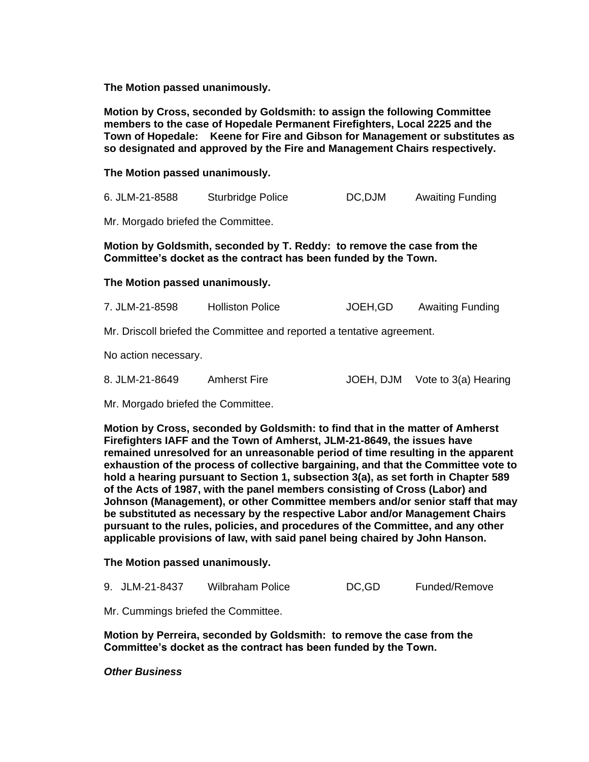**The Motion passed unanimously.**

**Motion by Cross, seconded by Goldsmith: to assign the following Committee members to the case of Hopedale Permanent Firefighters, Local 2225 and the Town of Hopedale: Keene for Fire and Gibson for Management or substitutes as so designated and approved by the Fire and Management Chairs respectively.**

**The Motion passed unanimously.**

6. JLM-21-8588 Sturbridge Police DC,DJM Awaiting Funding

Mr. Morgado briefed the Committee.

**Motion by Goldsmith, seconded by T. Reddy: to remove the case from the Committee's docket as the contract has been funded by the Town.**

#### **The Motion passed unanimously.**

7. JLM-21-8598 Holliston Police JOEH,GD Awaiting Funding

Mr. Driscoll briefed the Committee and reported a tentative agreement.

No action necessary.

| 8. JLM-21-8649 | Amherst Fire | JOEH, DJM Vote to 3(a) Hearing |
|----------------|--------------|--------------------------------|
|                |              |                                |

Mr. Morgado briefed the Committee.

**Motion by Cross, seconded by Goldsmith: to find that in the matter of Amherst Firefighters IAFF and the Town of Amherst, JLM-21-8649, the issues have remained unresolved for an unreasonable period of time resulting in the apparent exhaustion of the process of collective bargaining, and that the Committee vote to hold a hearing pursuant to Section 1, subsection 3(a), as set forth in Chapter 589 of the Acts of 1987, with the panel members consisting of Cross (Labor) and Johnson (Management), or other Committee members and/or senior staff that may be substituted as necessary by the respective Labor and/or Management Chairs pursuant to the rules, policies, and procedures of the Committee, and any other applicable provisions of law, with said panel being chaired by John Hanson.**

**The Motion passed unanimously.**

9. JLM-21-8437 Wilbraham Police DC,GD Funded/Remove

Mr. Cummings briefed the Committee.

**Motion by Perreira, seconded by Goldsmith: to remove the case from the Committee's docket as the contract has been funded by the Town.**

*Other Business*